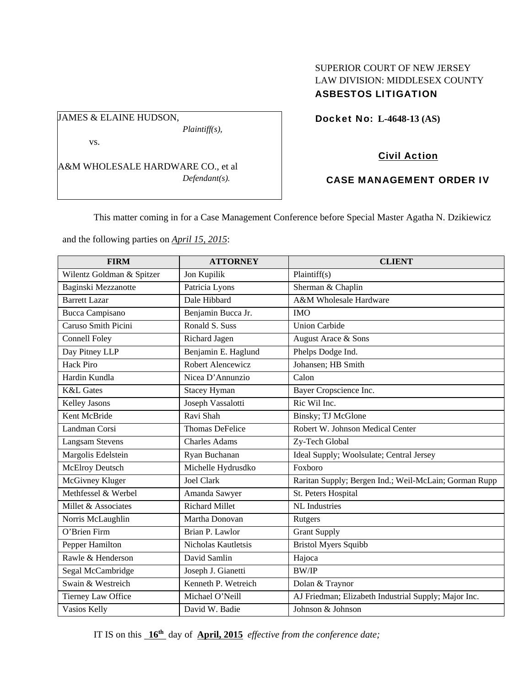### SUPERIOR COURT OF NEW JERSEY LAW DIVISION: MIDDLESEX COUNTY ASBESTOS LITIGATION

Docket No: **L-4648-13 (AS)** 

vs.

JAMES & ELAINE HUDSON,

A&M WHOLESALE HARDWARE CO., et al *Defendant(s).* 

*Plaintiff(s),* 

# Civil Action

## CASE MANAGEMENT ORDER IV

This matter coming in for a Case Management Conference before Special Master Agatha N. Dzikiewicz

and the following parties on *April 15, 2015*:

| <b>FIRM</b>               | <b>ATTORNEY</b>        | <b>CLIENT</b>                                         |
|---------------------------|------------------------|-------------------------------------------------------|
| Wilentz Goldman & Spitzer | Jon Kupilik            | Plaintiff(s)                                          |
| Baginski Mezzanotte       | Patricia Lyons         | Sherman & Chaplin                                     |
| <b>Barrett Lazar</b>      | Dale Hibbard           | A&M Wholesale Hardware                                |
| <b>Bucca Campisano</b>    | Benjamin Bucca Jr.     | <b>IMO</b>                                            |
| Caruso Smith Picini       | Ronald S. Suss         | <b>Union Carbide</b>                                  |
| <b>Connell Foley</b>      | Richard Jagen          | August Arace & Sons                                   |
| Day Pitney LLP            | Benjamin E. Haglund    | Phelps Dodge Ind.                                     |
| <b>Hack Piro</b>          | Robert Alencewicz      | Johansen; HB Smith                                    |
| Hardin Kundla             | Nicea D'Annunzio       | Calon                                                 |
| <b>K&amp;L</b> Gates      | <b>Stacey Hyman</b>    | Bayer Cropscience Inc.                                |
| Kelley Jasons             | Joseph Vassalotti      | Ric Wil Inc.                                          |
| Kent McBride              | Ravi Shah              | Binsky; TJ McGlone                                    |
| Landman Corsi             | <b>Thomas DeFelice</b> | Robert W. Johnson Medical Center                      |
| <b>Langsam Stevens</b>    | <b>Charles Adams</b>   | Zy-Tech Global                                        |
| Margolis Edelstein        | Ryan Buchanan          | Ideal Supply; Woolsulate; Central Jersey              |
| McElroy Deutsch           | Michelle Hydrusdko     | Foxboro                                               |
| McGivney Kluger           | <b>Joel Clark</b>      | Raritan Supply; Bergen Ind.; Weil-McLain; Gorman Rupp |
| Methfessel & Werbel       | Amanda Sawyer          | St. Peters Hospital                                   |
| Millet & Associates       | <b>Richard Millet</b>  | <b>NL</b> Industries                                  |
| Norris McLaughlin         | Martha Donovan         | Rutgers                                               |
| O'Brien Firm              | Brian P. Lawlor        | <b>Grant Supply</b>                                   |
| Pepper Hamilton           | Nicholas Kautletsis    | <b>Bristol Myers Squibb</b>                           |
| Rawle & Henderson         | David Samlin           | Hajoca                                                |
| Segal McCambridge         | Joseph J. Gianetti     | <b>BW/IP</b>                                          |
| Swain & Westreich         | Kenneth P. Wetreich    | Dolan & Traynor                                       |
| Tierney Law Office        | Michael O'Neill        | AJ Friedman; Elizabeth Industrial Supply; Major Inc.  |
| Vasios Kelly              | David W. Badie         | Johnson & Johnson                                     |

IT IS on this **16th** day of **April, 2015** *effective from the conference date;*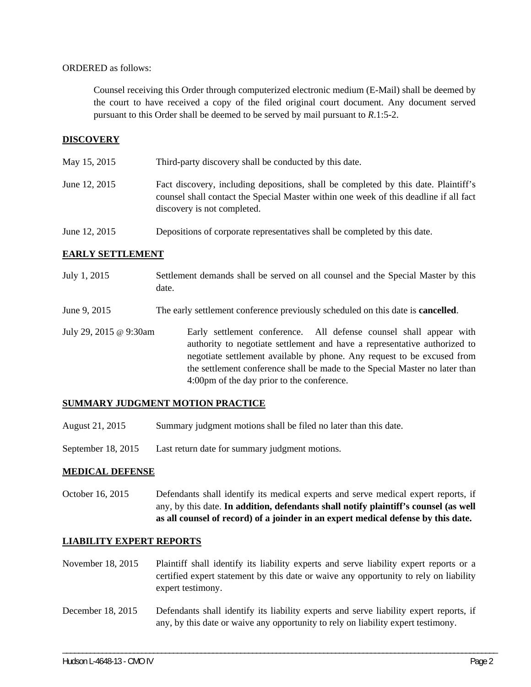#### ORDERED as follows:

Counsel receiving this Order through computerized electronic medium (E-Mail) shall be deemed by the court to have received a copy of the filed original court document. Any document served pursuant to this Order shall be deemed to be served by mail pursuant to *R*.1:5-2.

### **DISCOVERY**

May 15, 2015 Third-party discovery shall be conducted by this date.

- June 12, 2015 Fact discovery, including depositions, shall be completed by this date. Plaintiff's counsel shall contact the Special Master within one week of this deadline if all fact discovery is not completed.
- June 12, 2015 Depositions of corporate representatives shall be completed by this date.

### **EARLY SETTLEMENT**

- July 1, 2015 Settlement demands shall be served on all counsel and the Special Master by this date.
- June 9, 2015 The early settlement conference previously scheduled on this date is **cancelled**.
- July 29, 2015 @ 9:30am Early settlement conference. All defense counsel shall appear with authority to negotiate settlement and have a representative authorized to negotiate settlement available by phone. Any request to be excused from the settlement conference shall be made to the Special Master no later than 4:00pm of the day prior to the conference.

#### **SUMMARY JUDGMENT MOTION PRACTICE**

- August 21, 2015 Summary judgment motions shall be filed no later than this date.
- September 18, 2015 Last return date for summary judgment motions.

#### **MEDICAL DEFENSE**

October 16, 2015 Defendants shall identify its medical experts and serve medical expert reports, if any, by this date. **In addition, defendants shall notify plaintiff's counsel (as well as all counsel of record) of a joinder in an expert medical defense by this date.** 

#### **LIABILITY EXPERT REPORTS**

- November 18, 2015 Plaintiff shall identify its liability experts and serve liability expert reports or a certified expert statement by this date or waive any opportunity to rely on liability expert testimony.
- December 18, 2015 Defendants shall identify its liability experts and serve liability expert reports, if any, by this date or waive any opportunity to rely on liability expert testimony.

\_\_\_\_\_\_\_\_\_\_\_\_\_\_\_\_\_\_\_\_\_\_\_\_\_\_\_\_\_\_\_\_\_\_\_\_\_\_\_\_\_\_\_\_\_\_\_\_\_\_\_\_\_\_\_\_\_\_\_\_\_\_\_\_\_\_\_\_\_\_\_\_\_\_\_\_\_\_\_\_\_\_\_\_\_\_\_\_\_\_\_\_\_\_\_\_\_\_\_\_\_\_\_\_\_\_\_\_\_\_